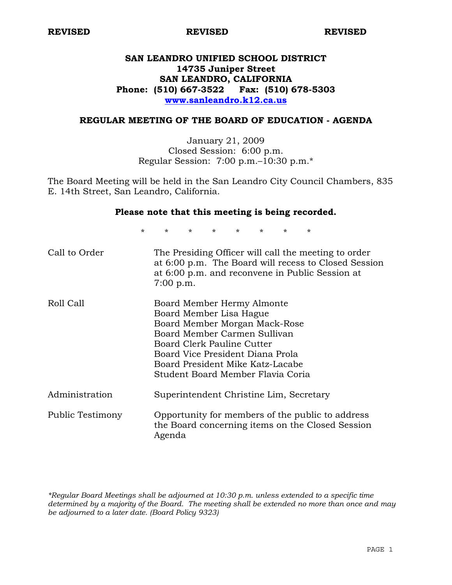# **SAN LEANDRO UNIFIED SCHOOL DISTRICT 14735 Juniper Street SAN LEANDRO, CALIFORNIA Phone: (510) 667-3522 Fax: (510) 678-5303 www.sanleandro.k12.ca.us**

# **REGULAR MEETING OF THE BOARD OF EDUCATION - AGENDA**

January 21, 2009 Closed Session: 6:00 p.m. Regular Session: 7:00 p.m.–10:30 p.m.\*

The Board Meeting will be held in the San Leandro City Council Chambers, 835 E. 14th Street, San Leandro, California.

## **Please note that this meeting is being recorded.**

\* \* \* \* \* \* \* \*

| Call to Order    | The Presiding Officer will call the meeting to order<br>at 6:00 p.m. The Board will recess to Closed Session<br>at 6:00 p.m. and reconvene in Public Session at<br>$7:00$ p.m.                                                                                    |
|------------------|-------------------------------------------------------------------------------------------------------------------------------------------------------------------------------------------------------------------------------------------------------------------|
| Roll Call        | Board Member Hermy Almonte<br>Board Member Lisa Hague<br>Board Member Morgan Mack-Rose<br>Board Member Carmen Sullivan<br>Board Clerk Pauline Cutter<br>Board Vice President Diana Prola<br>Board President Mike Katz-Lacabe<br>Student Board Member Flavia Coria |
| Administration   | Superintendent Christine Lim, Secretary                                                                                                                                                                                                                           |
| Public Testimony | Opportunity for members of the public to address<br>the Board concerning items on the Closed Session<br>Agenda                                                                                                                                                    |

*\*Regular Board Meetings shall be adjourned at 10:30 p.m. unless extended to a specific time determined by a majority of the Board. The meeting shall be extended no more than once and may be adjourned to a later date. (Board Policy 9323)*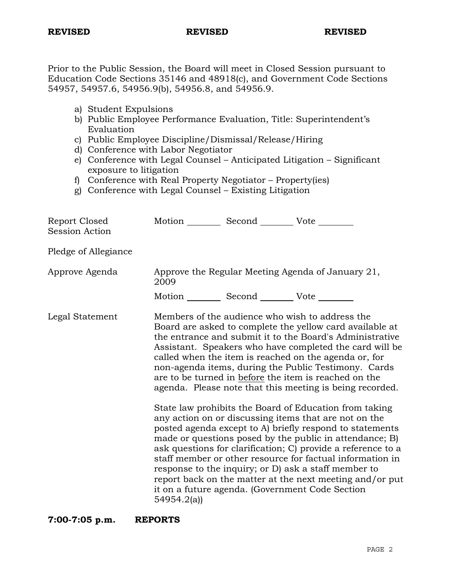Prior to the Public Session, the Board will meet in Closed Session pursuant to Education Code Sections 35146 and 48918(c), and Government Code Sections 54957, 54957.6, 54956.9(b), 54956.8, and 54956.9.

- a) Student Expulsions
- b) Public Employee Performance Evaluation, Title: Superintendent's Evaluation
- c) Public Employee Discipline/Dismissal/Release/Hiring
- d) Conference with Labor Negotiator
- e) Conference with Legal Counsel Anticipated Litigation Significant exposure to litigation
- f) Conference with Real Property Negotiator Property(ies)
- g) Conference with Legal Counsel Existing Litigation

| Report Closed<br><b>Session Action</b> | Motion __________ Second __________ Vote ________    |                                                                                                                                                                                                                                                                                                                                                                                                                                                                                                                                                                                                                                                                                                                                                                                                                                                                                                                                                                                                                        |
|----------------------------------------|------------------------------------------------------|------------------------------------------------------------------------------------------------------------------------------------------------------------------------------------------------------------------------------------------------------------------------------------------------------------------------------------------------------------------------------------------------------------------------------------------------------------------------------------------------------------------------------------------------------------------------------------------------------------------------------------------------------------------------------------------------------------------------------------------------------------------------------------------------------------------------------------------------------------------------------------------------------------------------------------------------------------------------------------------------------------------------|
| Pledge of Allegiance                   |                                                      |                                                                                                                                                                                                                                                                                                                                                                                                                                                                                                                                                                                                                                                                                                                                                                                                                                                                                                                                                                                                                        |
| Approve Agenda                         | 2009                                                 | Approve the Regular Meeting Agenda of January 21,                                                                                                                                                                                                                                                                                                                                                                                                                                                                                                                                                                                                                                                                                                                                                                                                                                                                                                                                                                      |
|                                        | Motion ___________ Second ___________ Vote _________ |                                                                                                                                                                                                                                                                                                                                                                                                                                                                                                                                                                                                                                                                                                                                                                                                                                                                                                                                                                                                                        |
| Legal Statement                        | 54954.2(a)                                           | Members of the audience who wish to address the<br>Board are asked to complete the yellow card available at<br>the entrance and submit it to the Board's Administrative<br>Assistant. Speakers who have completed the card will be<br>called when the item is reached on the agenda or, for<br>non-agenda items, during the Public Testimony. Cards<br>are to be turned in before the item is reached on the<br>agenda. Please note that this meeting is being recorded.<br>State law prohibits the Board of Education from taking<br>any action on or discussing items that are not on the<br>posted agenda except to A) briefly respond to statements<br>made or questions posed by the public in attendance; B)<br>ask questions for clarification; C) provide a reference to a<br>staff member or other resource for factual information in<br>response to the inquiry; or D) ask a staff member to<br>report back on the matter at the next meeting and/or put<br>it on a future agenda. (Government Code Section |

**7:00-7:05 p.m. REPORTS**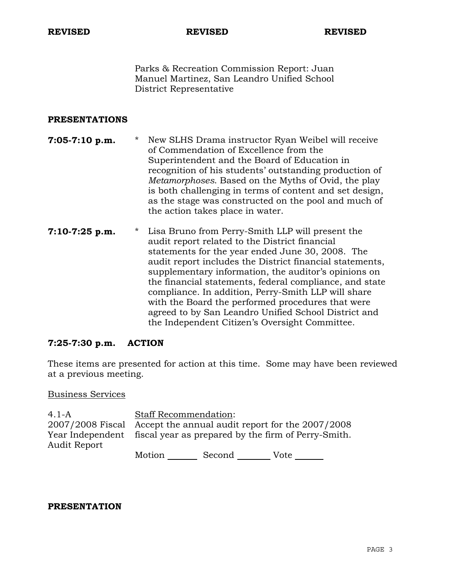Parks & Recreation Commission Report: Juan Manuel Martinez, San Leandro Unified School District Representative

# **PRESENTATIONS**

- **7:05-7:10 p.m.** \* New SLHS Drama instructor Ryan Weibel will receive of Commendation of Excellence from the Superintendent and the Board of Education in recognition of his students' outstanding production of *Metamorphoses*. Based on the Myths of Ovid, the play is both challenging in terms of content and set design, as the stage was constructed on the pool and much of the action takes place in water.
- **7:10-7:25 p.m.** \* Lisa Bruno from Perry-Smith LLP will present the audit report related to the District financial statements for the year ended June 30, 2008. The audit report includes the District financial statements, supplementary information, the auditor's opinions on the financial statements, federal compliance, and state compliance. In addition, Perry-Smith LLP will share with the Board the performed procedures that were agreed to by San Leandro Unified School District and the Independent Citizen's Oversight Committee.

# **7:25-7:30 p.m. ACTION**

These items are presented for action at this time. Some may have been reviewed at a previous meeting.

Business Services

| $4.1 - A$                                                                            | <b>Staff Recommendation:</b> |        |      |  |
|--------------------------------------------------------------------------------------|------------------------------|--------|------|--|
| 2007/2008 Fiscal Accept the annual audit report for the 2007/2008                    |                              |        |      |  |
| Year Independent fiscal year as prepared by the firm of Perry-Smith.<br>Audit Report |                              |        |      |  |
|                                                                                      | Motion                       | Second | Vote |  |

## **PRESENTATION**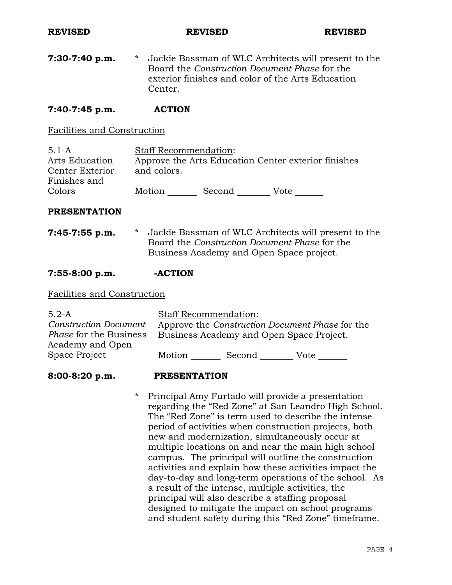**7:30-7:40 p.m.** \* Jackie Bassman of WLC Architects will present to the Board the *Construction Document Phase* for the exterior finishes and color of the Arts Education Center.

# **7:40-7:45 p.m. ACTION**

# Facilities and Construction

| $5.1 - A$       | <b>Staff Recommendation:</b> |        |                                                     |
|-----------------|------------------------------|--------|-----------------------------------------------------|
| Arts Education  |                              |        | Approve the Arts Education Center exterior finishes |
| Center Exterior | and colors.                  |        |                                                     |
| Finishes and    |                              |        |                                                     |
| Colors          | Motion                       | Second | Vote                                                |

## **PRESENTATION**

**7:45-7:55 p.m.** \* Jackie Bassman of WLC Architects will present to the Board the *Construction Document Phase* for the Business Academy and Open Space project.

## **7:55-8:00 p.m. -ACTION**

### Facilities and Construction

| Motion | Second | Vote                                                                                                                        |
|--------|--------|-----------------------------------------------------------------------------------------------------------------------------|
|        |        | <b>Staff Recommendation:</b><br>Approve the Construction Document Phase for the<br>Business Academy and Open Space Project. |

### **8:00-8:20 p.m. PRESENTATION**

\* Principal Amy Furtado will provide a presentation regarding the "Red Zone" at San Leandro High School. The "Red Zone" is term used to describe the intense period of activities when construction projects, both new and modernization, simultaneously occur at multiple locations on and near the main high school campus. The principal will outline the construction activities and explain how these activities impact the day-to-day and long-term operations of the school. As a result of the intense, multiple activities, the principal will also describe a staffing proposal designed to mitigate the impact on school programs and student safety during this "Red Zone" timeframe.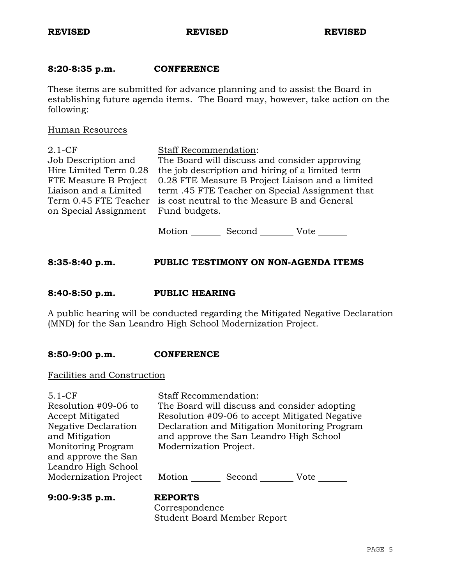# **8:20-8:35 p.m. CONFERENCE**

These items are submitted for advance planning and to assist the Board in establishing future agenda items. The Board may, however, take action on the following:

Human Resources

| The Board will discuss and consider approving    |
|--------------------------------------------------|
| the job description and hiring of a limited term |
| 0.28 FTE Measure B Project Liaison and a limited |
| term .45 FTE Teacher on Special Assignment that  |
|                                                  |
|                                                  |
|                                                  |
|                                                  |

Motion Second Vote

# **8:35-8:40 p.m. PUBLIC TESTIMONY ON NON-AGENDA ITEMS**

## **8:40-8:50 p.m. PUBLIC HEARING**

A public hearing will be conducted regarding the Mitigated Negative Declaration (MND) for the San Leandro High School Modernization Project.

## **8:50-9:00 p.m. CONFERENCE**

Facilities and Construction

Staff Recommendation:

Resolution #09-06 to Accept Mitigated Negative Declaration and Mitigation Monitoring Program and approve the San Leandro High School Modernization Project The Board will discuss and consider adopting Resolution #09-06 to accept Mitigated Negative Declaration and Mitigation Monitoring Program and approve the San Leandro High School Modernization Project.

Motion Second Vote \_\_\_\_\_\_

**9:00-9:35 p.m. REPORTS**

 Correspondence Student Board Member Report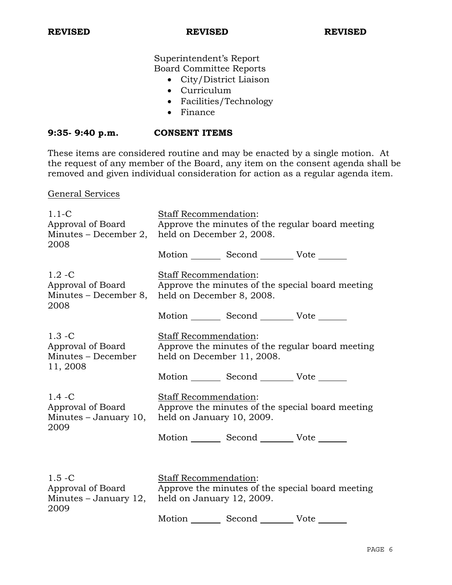# Superintendent's Report Board Committee Reports

- City/District Liaison
- Curriculum
- Facilities/Technology
- Finance

# **9:35- 9:40 p.m. CONSENT ITEMS**

These items are considered routine and may be enacted by a single motion. At the request of any member of the Board, any item on the consent agenda shall be removed and given individual consideration for action as a regular agenda item.

General Services

| $1.1-C$<br>Approval of Board<br>Minutes – December 2,<br>2008     | Staff Recommendation:<br>Approve the minutes of the regular board meeting<br>held on December 2, 2008.  |                                                      |                                                  |
|-------------------------------------------------------------------|---------------------------------------------------------------------------------------------------------|------------------------------------------------------|--------------------------------------------------|
|                                                                   |                                                                                                         | Motion _________ Second __________ Vote _______      |                                                  |
| $1.2 - C$<br>Approval of Board<br>Minutes - December 8,<br>2008   | Staff Recommendation:<br>held on December 8, 2008.                                                      |                                                      | Approve the minutes of the special board meeting |
|                                                                   |                                                                                                         | Motion _________ Second __________ Vote _______      |                                                  |
| $1.3 - C$<br>Approval of Board<br>Minutes - December<br>11, 2008  | Staff Recommendation:<br>Approve the minutes of the regular board meeting<br>held on December 11, 2008. |                                                      |                                                  |
|                                                                   |                                                                                                         | Motion _________ Second __________ Vote _______      |                                                  |
| $1.4 - C$<br>Approval of Board<br>Minutes $-$ January 10,<br>2009 | <b>Staff Recommendation:</b><br>held on January 10, 2009.                                               |                                                      | Approve the minutes of the special board meeting |
|                                                                   |                                                                                                         | Motion _________ Second __________ Vote _______      |                                                  |
|                                                                   |                                                                                                         |                                                      |                                                  |
| $1.5 - C$<br>Approval of Board<br>Minutes - January 12,<br>2009   | Staff Recommendation:<br>Approve the minutes of the special board meeting<br>held on January 12, 2009.  |                                                      |                                                  |
|                                                                   |                                                                                                         | Motion __________ Second _____________ Vote ________ |                                                  |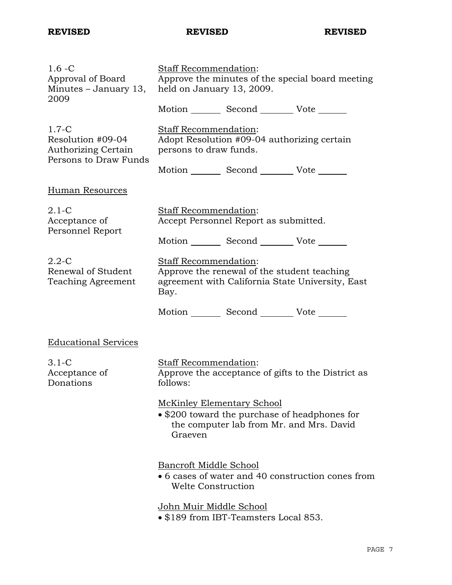| $1.6 - C$<br>Approval of Board<br>Minutes – January 13,<br>2009                | Staff Recommendation:<br>Approve the minutes of the special board meeting<br>held on January 13, 2009. |                                                                                           |                                                    |  |
|--------------------------------------------------------------------------------|--------------------------------------------------------------------------------------------------------|-------------------------------------------------------------------------------------------|----------------------------------------------------|--|
|                                                                                |                                                                                                        | Motion Second Vote                                                                        |                                                    |  |
| $1.7 - C$<br>Resolution #09-04<br>Authorizing Certain<br>Persons to Draw Funds | Staff Recommendation:<br>Adopt Resolution #09-04 authorizing certain<br>persons to draw funds.         |                                                                                           |                                                    |  |
|                                                                                |                                                                                                        | Motion _________ Second __________ Vote _______                                           |                                                    |  |
| Human Resources                                                                |                                                                                                        |                                                                                           |                                                    |  |
| $2.1-C$<br>Acceptance of<br>Personnel Report                                   | Staff Recommendation:<br>Accept Personnel Report as submitted.                                         |                                                                                           |                                                    |  |
|                                                                                |                                                                                                        | Motion Second Vote                                                                        |                                                    |  |
| $2.2 - C$<br>Renewal of Student<br>Teaching Agreement                          | <b>Staff Recommendation:</b><br>Bay.                                                                   | Approve the renewal of the student teaching                                               | agreement with California State University, East   |  |
|                                                                                |                                                                                                        | Motion _________ Second __________ Vote _______                                           |                                                    |  |
| <b>Educational Services</b>                                                    |                                                                                                        |                                                                                           |                                                    |  |
| $3.1-C$<br>Acceptance of<br>Donations                                          | <b>Staff Recommendation:</b><br>follows:                                                               |                                                                                           | Approve the acceptance of gifts to the District as |  |
|                                                                                | McKinley Elementary School<br>Graeven                                                                  | • \$200 toward the purchase of headphones for<br>the computer lab from Mr. and Mrs. David |                                                    |  |
|                                                                                | Bancroft Middle School<br><b>Welte Construction</b>                                                    |                                                                                           | • 6 cases of water and 40 construction cones from  |  |
|                                                                                | John Muir Middle School                                                                                | • \$189 from IBT-Teamsters Local 853.                                                     |                                                    |  |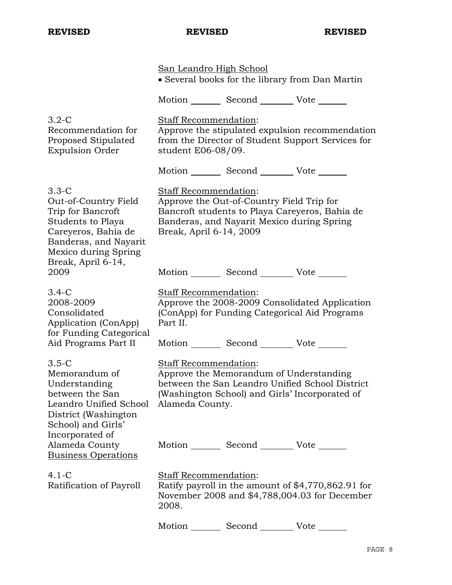|                                                                                                                                                                           | <u>San Leandro High School</u>                   |                                                                                         | • Several books for the library from Dan Martin                                                      |
|---------------------------------------------------------------------------------------------------------------------------------------------------------------------------|--------------------------------------------------|-----------------------------------------------------------------------------------------|------------------------------------------------------------------------------------------------------|
|                                                                                                                                                                           |                                                  | Motion _________ Second __________ Vote _______                                         |                                                                                                      |
| $3.2-C$<br>Recommendation for<br>Proposed Stipulated<br><b>Expulsion Order</b>                                                                                            | Staff Recommendation:<br>student E06-08/09.      |                                                                                         | Approve the stipulated expulsion recommendation<br>from the Director of Student Support Services for |
|                                                                                                                                                                           |                                                  | Motion _________ Second __________ Vote _______                                         |                                                                                                      |
| $3.3 - C$<br>Out-of-Country Field<br>Trip for Bancroft<br>Students to Playa<br>Careyeros, Bahia de<br>Banderas, and Nayarit<br>Mexico during Spring<br>Break, April 6-14, | Staff Recommendation:<br>Break, April 6-14, 2009 | Approve the Out-of-Country Field Trip for<br>Banderas, and Nayarit Mexico during Spring | Bancroft students to Playa Careyeros, Bahia de                                                       |
| 2009                                                                                                                                                                      |                                                  | Motion _________ Second __________ Vote _______                                         |                                                                                                      |
| $3.4-C$<br>2008-2009<br>Consolidated<br>Application (ConApp)<br>for Funding Categorical                                                                                   | Staff Recommendation:<br>Part II.                |                                                                                         | Approve the 2008-2009 Consolidated Application<br>(ConApp) for Funding Categorical Aid Programs      |
| Aid Programs Part II                                                                                                                                                      |                                                  | Motion _________ Second __________ Vote _______                                         |                                                                                                      |
| $3.5-C$<br>Memorandum of<br>Understanding<br>between the San<br>Leandro Unified School<br>District (Washington<br>School) and Girls'                                      | Staff Recommendation:<br>Alameda County.         | Approve the Memorandum of Understanding                                                 | between the San Leandro Unified School District<br>(Washington School) and Girls' Incorporated of    |
| Incorporated of<br>Alameda County<br><b>Business Operations</b>                                                                                                           |                                                  | Motion Second Vote                                                                      |                                                                                                      |
| $4.1-C$<br>Ratification of Payroll                                                                                                                                        | <b>Staff Recommendation:</b><br>2008.            |                                                                                         | Ratify payroll in the amount of \$4,770,862.91 for<br>November 2008 and \$4,788,004.03 for December  |
|                                                                                                                                                                           | Motion                                           | Second                                                                                  | Vote                                                                                                 |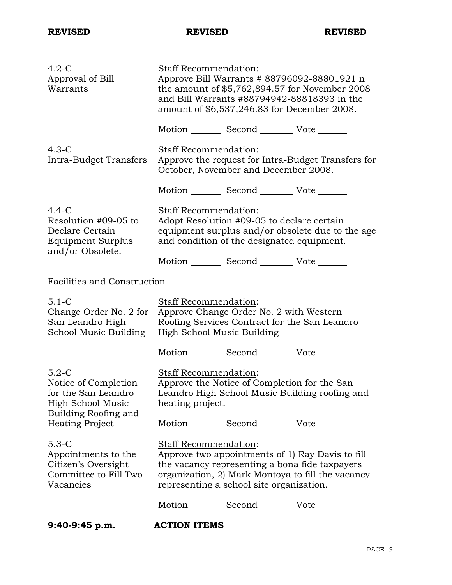| $4.2-C$<br>Approval of Bill<br>Warrants                                                                                       | Staff Recommendation:<br>Approve Bill Warrants # 88796092-88801921 n<br>the amount of \$5,762,894.57 for November 2008<br>and Bill Warrants #88794942-88818393 in the<br>amount of \$6,537,246.83 for December 2008.         |
|-------------------------------------------------------------------------------------------------------------------------------|------------------------------------------------------------------------------------------------------------------------------------------------------------------------------------------------------------------------------|
|                                                                                                                               | Motion _________ Second __________ Vote _______                                                                                                                                                                              |
| $4.3-C$<br>Intra-Budget Transfers                                                                                             | Staff Recommendation:<br>Approve the request for Intra-Budget Transfers for<br>October, November and December 2008.                                                                                                          |
|                                                                                                                               | Motion _________ Second __________ Vote _______                                                                                                                                                                              |
| $4.4 - C$<br>Resolution #09-05 to<br>Declare Certain<br>Equipment Surplus<br>and/or Obsolete.                                 | Staff Recommendation:<br>Adopt Resolution #09-05 to declare certain<br>equipment surplus and/or obsolete due to the age<br>and condition of the designated equipment.<br>Motion _________ Second __________ Vote _______     |
| Facilities and Construction                                                                                                   |                                                                                                                                                                                                                              |
| $5.1 - C$<br>Change Order No. 2 for<br>San Leandro High<br>School Music Building                                              | Staff Recommendation:<br>Approve Change Order No. 2 with Western<br>Roofing Services Contract for the San Leandro<br>High School Music Building                                                                              |
|                                                                                                                               | Motion _________ Second __________ Vote _______                                                                                                                                                                              |
| $5.2-C$<br>Notice of Completion<br>for the San Leandro<br>High School Music<br>Building Roofing and<br><b>Heating Project</b> | Staff Recommendation:<br>Approve the Notice of Completion for the San<br>Leandro High School Music Building roofing and<br>heating project.<br>Motion _________ Second _________ Vote _______                                |
| $5.3-C$<br>Appointments to the<br>Citizen's Oversight<br>Committee to Fill Two<br>Vacancies                                   | Staff Recommendation:<br>Approve two appointments of 1) Ray Davis to fill<br>the vacancy representing a bona fide taxpayers<br>organization, 2) Mark Montoya to fill the vacancy<br>representing a school site organization. |
|                                                                                                                               | Motion _________ Second __________ Vote _______                                                                                                                                                                              |
| $9:40-9:45 p.m.$                                                                                                              | <b>ACTION ITEMS</b>                                                                                                                                                                                                          |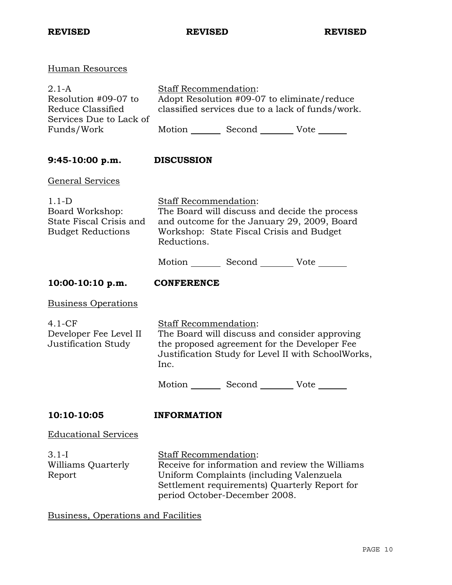| Human Resources                                                                             |                                                                                                                                                                                                        |
|---------------------------------------------------------------------------------------------|--------------------------------------------------------------------------------------------------------------------------------------------------------------------------------------------------------|
| 2.1-A<br>Resolution #09-07 to<br>Reduce Classified<br>Services Due to Lack of<br>Funds/Work | <b>Staff Recommendation:</b><br>Adopt Resolution #09-07 to eliminate/reduce<br>classified services due to a lack of funds/work.<br>Motion _________ Second __________ Vote _______                     |
| 9:45-10:00 p.m.                                                                             | <b>DISCUSSION</b>                                                                                                                                                                                      |
| <u>General Services</u>                                                                     |                                                                                                                                                                                                        |
| $1.1-D$<br>Board Workshop:<br>State Fiscal Crisis and<br><b>Budget Reductions</b>           | Staff Recommendation:<br>The Board will discuss and decide the process<br>and outcome for the January 29, 2009, Board<br>Workshop: State Fiscal Crisis and Budget<br>Reductions.                       |
|                                                                                             | Motion Second Vote                                                                                                                                                                                     |
| $10:00-10:10 p.m.$                                                                          | <b>CONFERENCE</b>                                                                                                                                                                                      |
| <u>Business Operations</u>                                                                  |                                                                                                                                                                                                        |
| 4.1-CF<br>Developer Fee Level II<br>Justification Study                                     | <b>Staff Recommendation:</b><br>The Board will discuss and consider approving<br>the proposed agreement for the Developer Fee<br>Justification Study for Level II with SchoolWorks,<br>Inc.            |
|                                                                                             | Motion _________ Second __________ Vote _______                                                                                                                                                        |
| 10:10-10:05                                                                                 | <b>INFORMATION</b>                                                                                                                                                                                     |
| <u>Educational Services</u>                                                                 |                                                                                                                                                                                                        |
| 3.1-I<br>Williams Quarterly<br>Report                                                       | Staff Recommendation:<br>Receive for information and review the Williams<br>Uniform Complaints (including Valenzuela<br>Settlement requirements) Quarterly Report for<br>period October-December 2008. |

Business, Operations and Facilities